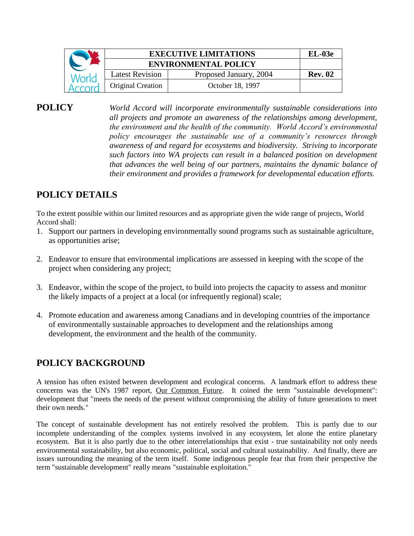|       | <b>EXECUTIVE LIMITATIONS</b> |                        | $EL-03e$       |
|-------|------------------------------|------------------------|----------------|
|       | <b>ENVIRONMENTAL POLICY</b>  |                        |                |
| World | <b>Latest Revision</b>       | Proposed January, 2004 | <b>Rev. 02</b> |
|       | <b>Original Creation</b>     | October 18, 1997       |                |

**POLICY** *World Accord will incorporate environmentally sustainable considerations into all projects and promote an awareness of the relationships among development, the environment and the health of the community. World Accord's environmental policy encourages the sustainable use of a community's resources through awareness of and regard for ecosystems and biodiversity. Striving to incorporate such factors into WA projects can result in a balanced position on development that advances the well being of our partners, maintains the dynamic balance of their environment and provides a framework for developmental education efforts.*

## **POLICY DETAILS**

To the extent possible within our limited resources and as appropriate given the wide range of projects, World Accord shall:

- 1. Support our partners in developing environmentally sound programs such as sustainable agriculture, as opportunities arise;
- 2. Endeavor to ensure that environmental implications are assessed in keeping with the scope of the project when considering any project;
- 3. Endeavor, within the scope of the project, to build into projects the capacity to assess and monitor the likely impacts of a project at a local (or infrequently regional) scale;
- 4. Promote education and awareness among Canadians and in developing countries of the importance of environmentally sustainable approaches to development and the relationships among development, the environment and the health of the community.

## **POLICY BACKGROUND**

A tension has often existed between development and ecological concerns. A landmark effort to address these concerns was the UN's 1987 report, Our Common Future. It coined the term "sustainable development": development that "meets the needs of the present without compromising the ability of future generations to meet their own needs."

The concept of sustainable development has not entirely resolved the problem. This is partly due to our incomplete understanding of the complex systems involved in any ecosystem, let alone the entire planetary ecosystem. But it is also partly due to the other interrelationships that exist - true sustainability not only needs environmental sustainability, but also economic, political, social and cultural sustainability. And finally, there are issues surrounding the meaning of the term itself. Some indigenous people fear that from their perspective the term "sustainable development" really means "sustainable exploitation."